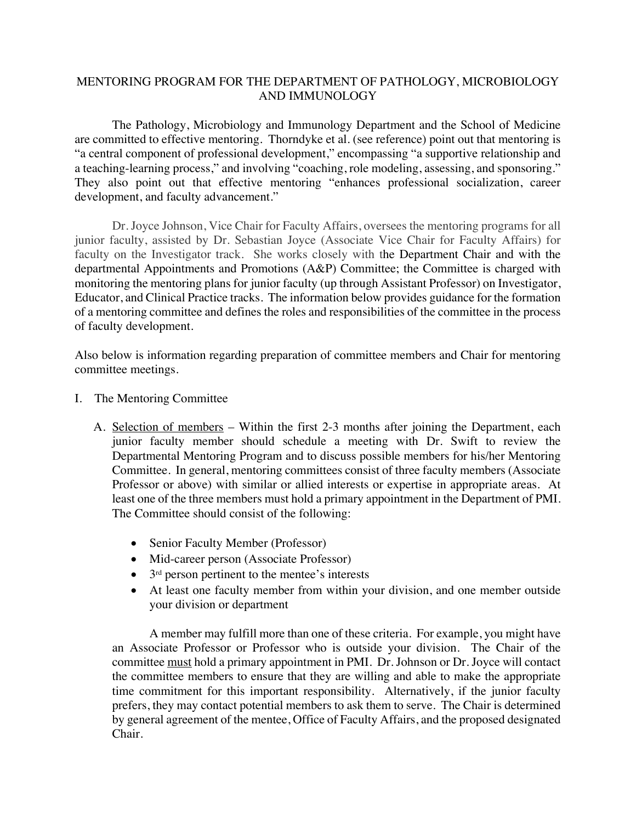## MENTORING PROGRAM FOR THE DEPARTMENT OF PATHOLOGY, MICROBIOLOGY AND IMMUNOLOGY

The Pathology, Microbiology and Immunology Department and the School of Medicine are committed to effective mentoring. Thorndyke et al. (see reference) point out that mentoring is "a central component of professional development," encompassing "a supportive relationship and a teaching-learning process," and involving "coaching, role modeling, assessing, and sponsoring." They also point out that effective mentoring "enhances professional socialization, career development, and faculty advancement."

Dr. Joyce Johnson, Vice Chair for Faculty Affairs, oversees the mentoring programs for all junior faculty, assisted by Dr. Sebastian Joyce (Associate Vice Chair for Faculty Affairs) for faculty on the Investigator track. She works closely with the Department Chair and with the departmental Appointments and Promotions (A&P) Committee; the Committee is charged with monitoring the mentoring plans for junior faculty (up through Assistant Professor) on Investigator, Educator, and Clinical Practice tracks. The information below provides guidance for the formation of a mentoring committee and defines the roles and responsibilities of the committee in the process of faculty development.

Also below is information regarding preparation of committee members and Chair for mentoring committee meetings.

- I. The Mentoring Committee
	- A. Selection of members Within the first 2-3 months after joining the Department, each junior faculty member should schedule a meeting with Dr. Swift to review the Departmental Mentoring Program and to discuss possible members for his/her Mentoring Committee. In general, mentoring committees consist of three faculty members (Associate Professor or above) with similar or allied interests or expertise in appropriate areas. At least one of the three members must hold a primary appointment in the Department of PMI. The Committee should consist of the following:
		- Senior Faculty Member (Professor)
		- Mid-career person (Associate Professor)
		- $\bullet$  3<sup>rd</sup> person pertinent to the mentee's interests
		- At least one faculty member from within your division, and one member outside your division or department

A member may fulfill more than one of these criteria. For example, you might have an Associate Professor or Professor who is outside your division. The Chair of the committee must hold a primary appointment in PMI. Dr. Johnson or Dr. Joyce will contact the committee members to ensure that they are willing and able to make the appropriate time commitment for this important responsibility. Alternatively, if the junior faculty prefers, they may contact potential members to ask them to serve. The Chair is determined by general agreement of the mentee, Office of Faculty Affairs, and the proposed designated Chair.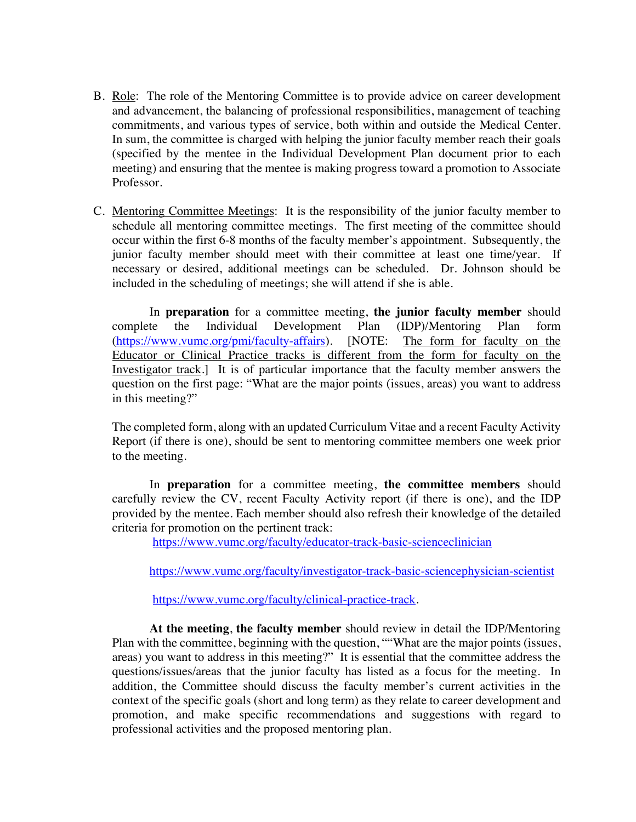- B. Role: The role of the Mentoring Committee is to provide advice on career development and advancement, the balancing of professional responsibilities, management of teaching commitments, and various types of service, both within and outside the Medical Center. In sum, the committee is charged with helping the junior faculty member reach their goals (specified by the mentee in the Individual Development Plan document prior to each meeting) and ensuring that the mentee is making progress toward a promotion to Associate Professor.
- C. Mentoring Committee Meetings: It is the responsibility of the junior faculty member to schedule all mentoring committee meetings. The first meeting of the committee should occur within the first 6-8 months of the faculty member's appointment. Subsequently, the junior faculty member should meet with their committee at least one time/year. If necessary or desired, additional meetings can be scheduled. Dr. Johnson should be included in the scheduling of meetings; she will attend if she is able.

In **preparation** for a committee meeting, **the junior faculty member** should te the Individual Development Plan (IDP)/Mentoring Plan form complete the Individual Development Plan (IDP)/Mentoring Plan form (https://www.vumc.org/pmi/faculty-affairs). [NOTE: The form for faculty on the Educator or Clinical Practice tracks is different from the form for faculty on the Investigator track.] It is of particular importance that the faculty member answers the question on the first page: "What are the major points (issues, areas) you want to address in this meeting?"

The completed form, along with an updated Curriculum Vitae and a recent Faculty Activity Report (if there is one), should be sent to mentoring committee members one week prior to the meeting.

In **preparation** for a committee meeting, **the committee members** should carefully review the CV, recent Faculty Activity report (if there is one), and the IDP provided by the mentee. Each member should also refresh their knowledge of the detailed criteria for promotion on the pertinent track:

https://www.vumc.org/faculty/educator-track-basic-scienceclinician

https://www.vumc.org/faculty/investigator-track-basic-sciencephysician-scientist

https://www.vumc.org/faculty/clinical-practice-track.

**At the meeting**, **the faculty member** should review in detail the IDP/Mentoring Plan with the committee, beginning with the question, ""What are the major points (issues, areas) you want to address in this meeting?" It is essential that the committee address the questions/issues/areas that the junior faculty has listed as a focus for the meeting. In addition, the Committee should discuss the faculty member's current activities in the context of the specific goals (short and long term) as they relate to career development and promotion, and make specific recommendations and suggestions with regard to professional activities and the proposed mentoring plan.